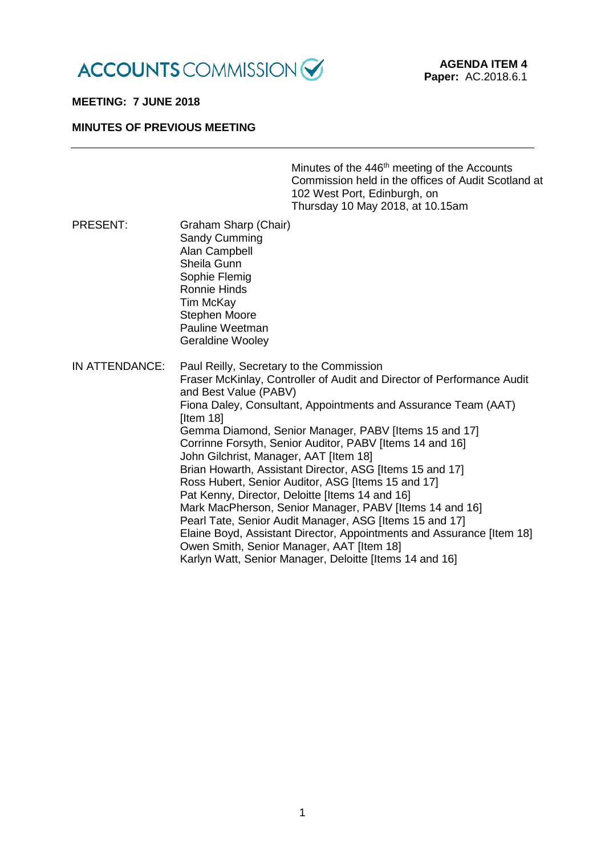

### **MEETING: 7 JUNE 2018**

### **MINUTES OF PREVIOUS MEETING**

| Minutes of the 446 <sup>th</sup> meeting of the Accounts |
|----------------------------------------------------------|
| Commission held in the offices of Audit Scotland at      |
| 102 West Port, Edinburgh, on                             |
| Thursday 10 May 2018, at 10.15am                         |

PRESENT: Graham Sharp (Chair) Sandy Cumming Alan Campbell Sheila Gunn Sophie Flemig Ronnie Hinds Tim McKay Stephen Moore Pauline Weetman Geraldine Wooley IN ATTENDANCE: Paul Reilly, Secretary to the Commission Fraser McKinlay, Controller of Audit and Director of Performance Audit and Best Value (PABV) Fiona Daley, Consultant, Appointments and Assurance Team (AAT) **Iltem 181** Gemma Diamond, Senior Manager, PABV [Items 15 and 17] Corrinne Forsyth, Senior Auditor, PABV [Items 14 and 16] John Gilchrist, Manager, AAT [Item 18] Brian Howarth, Assistant Director, ASG [Items 15 and 17] Ross Hubert, Senior Auditor, ASG [Items 15 and 17] Pat Kenny, Director, Deloitte [Items 14 and 16] Mark MacPherson, Senior Manager, PABV [Items 14 and 16] Pearl Tate, Senior Audit Manager, ASG [Items 15 and 17] Elaine Boyd, Assistant Director, Appointments and Assurance [Item 18] Owen Smith, Senior Manager, AAT [Item 18] Karlyn Watt, Senior Manager, Deloitte [Items 14 and 16]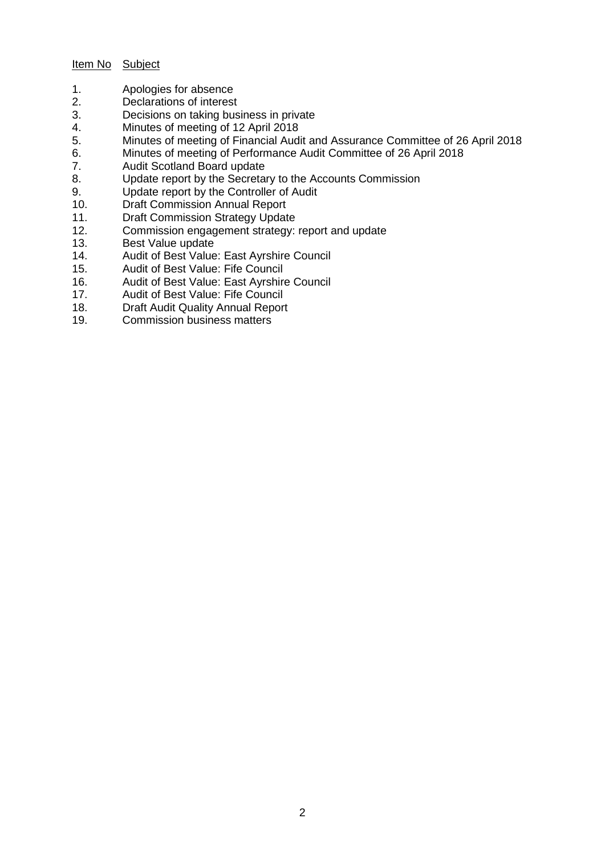# Item No Subject

- 1. Apologies for absence<br>2. Declarations of interest
- Declarations of interest
- 3. Decisions on taking business in private
- 4. Minutes of meeting of 12 April 2018<br>5. Minutes of meeting of Financial Audi
- 5. Minutes of meeting of Financial Audit and Assurance Committee of 26 April 2018<br>6. Minutes of meeting of Performance Audit Committee of 26 April 2018
- 6. Minutes of meeting of Performance Audit Committee of 26 April 2018<br>7. Audit Scotland Board update
- Audit Scotland Board update
- 8. Update report by the Secretary to the Accounts Commission
- 9. Update report by the Controller of Audit
- 10. Draft Commission Annual Report
- 11. Draft Commission Strategy Update<br>12. Commission engagement strategy:
- 12. Commission engagement strategy: report and update<br>13. Best Value update
- 13. Best Value update<br>14. Audit of Best Value
- 14. Audit of Best Value: East Ayrshire Council<br>15. Audit of Best Value: Fife Council
- 15. Audit of Best Value: Fife Council<br>16. Audit of Best Value: East Ayrshire
- 16. Audit of Best Value: East Ayrshire Council<br>17. Audit of Best Value: Fife Council
- 17. Audit of Best Value: Fife Council<br>18. Draft Audit Quality Annual Repor
- Draft Audit Quality Annual Report
- 19. Commission business matters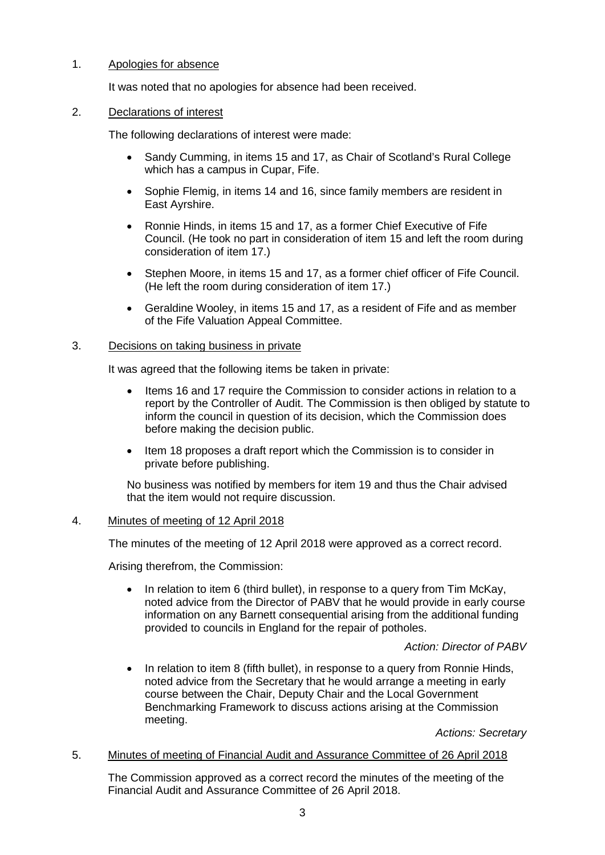# 1. Apologies for absence

It was noted that no apologies for absence had been received.

## 2. Declarations of interest

The following declarations of interest were made:

- Sandy Cumming, in items 15 and 17, as Chair of Scotland's Rural College which has a campus in Cupar, Fife.
- Sophie Flemig, in items 14 and 16, since family members are resident in East Ayrshire.
- Ronnie Hinds, in items 15 and 17, as a former Chief Executive of Fife Council. (He took no part in consideration of item 15 and left the room during consideration of item 17.)
- Stephen Moore, in items 15 and 17, as a former chief officer of Fife Council. (He left the room during consideration of item 17.)
- Geraldine Wooley, in items 15 and 17, as a resident of Fife and as member of the Fife Valuation Appeal Committee.

## 3. Decisions on taking business in private

It was agreed that the following items be taken in private:

- Items 16 and 17 require the Commission to consider actions in relation to a report by the Controller of Audit. The Commission is then obliged by statute to inform the council in question of its decision, which the Commission does before making the decision public.
- Item 18 proposes a draft report which the Commission is to consider in private before publishing.

No business was notified by members for item 19 and thus the Chair advised that the item would not require discussion.

### 4. Minutes of meeting of 12 April 2018

The minutes of the meeting of 12 April 2018 were approved as a correct record.

Arising therefrom, the Commission:

In relation to item 6 (third bullet), in response to a query from Tim McKay, noted advice from the Director of PABV that he would provide in early course information on any Barnett consequential arising from the additional funding provided to councils in England for the repair of potholes.

# *Action: Director of PABV*

• In relation to item 8 (fifth bullet), in response to a query from Ronnie Hinds, noted advice from the Secretary that he would arrange a meeting in early course between the Chair, Deputy Chair and the Local Government Benchmarking Framework to discuss actions arising at the Commission meeting.

*Actions: Secretary*

### 5. Minutes of meeting of Financial Audit and Assurance Committee of 26 April 2018

The Commission approved as a correct record the minutes of the meeting of the Financial Audit and Assurance Committee of 26 April 2018.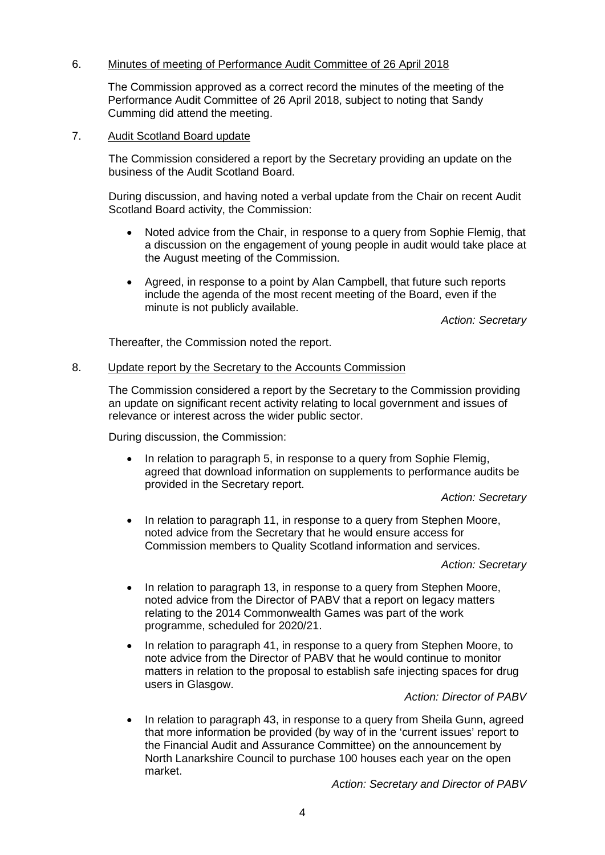# 6. Minutes of meeting of Performance Audit Committee of 26 April 2018

The Commission approved as a correct record the minutes of the meeting of the Performance Audit Committee of 26 April 2018, subject to noting that Sandy Cumming did attend the meeting.

## 7. Audit Scotland Board update

The Commission considered a report by the Secretary providing an update on the business of the Audit Scotland Board.

During discussion, and having noted a verbal update from the Chair on recent Audit Scotland Board activity, the Commission:

- Noted advice from the Chair, in response to a query from Sophie Flemig, that a discussion on the engagement of young people in audit would take place at the August meeting of the Commission.
- Agreed, in response to a point by Alan Campbell, that future such reports include the agenda of the most recent meeting of the Board, even if the minute is not publicly available.

*Action: Secretary*

Thereafter, the Commission noted the report.

### 8. Update report by the Secretary to the Accounts Commission

The Commission considered a report by the Secretary to the Commission providing an update on significant recent activity relating to local government and issues of relevance or interest across the wider public sector.

During discussion, the Commission:

• In relation to paragraph 5, in response to a query from Sophie Flemig, agreed that download information on supplements to performance audits be provided in the Secretary report.

*Action: Secretary*

• In relation to paragraph 11, in response to a query from Stephen Moore, noted advice from the Secretary that he would ensure access for Commission members to Quality Scotland information and services.

### *Action: Secretary*

- In relation to paragraph 13, in response to a query from Stephen Moore, noted advice from the Director of PABV that a report on legacy matters relating to the 2014 Commonwealth Games was part of the work programme, scheduled for 2020/21.
- In relation to paragraph 41, in response to a query from Stephen Moore, to note advice from the Director of PABV that he would continue to monitor matters in relation to the proposal to establish safe injecting spaces for drug users in Glasgow.

# *Action: Director of PABV*

• In relation to paragraph 43, in response to a query from Sheila Gunn, agreed that more information be provided (by way of in the 'current issues' report to the Financial Audit and Assurance Committee) on the announcement by North Lanarkshire Council to purchase 100 houses each year on the open market.

*Action: Secretary and Director of PABV*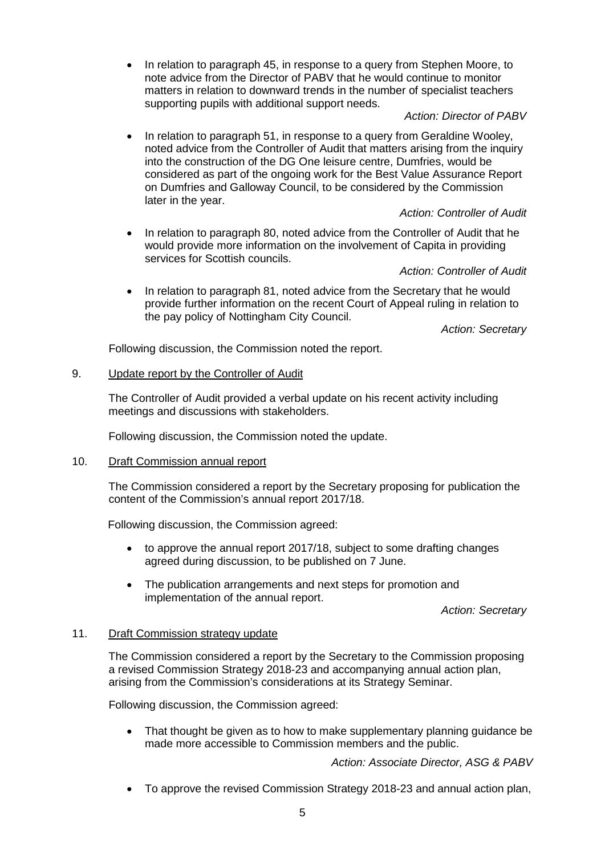• In relation to paragraph 45, in response to a query from Stephen Moore, to note advice from the Director of PABV that he would continue to monitor matters in relation to downward trends in the number of specialist teachers supporting pupils with additional support needs.

## *Action: Director of PABV*

• In relation to paragraph 51, in response to a query from Geraldine Wooley, noted advice from the Controller of Audit that matters arising from the inquiry into the construction of the DG One leisure centre, Dumfries, would be considered as part of the ongoing work for the Best Value Assurance Report on Dumfries and Galloway Council, to be considered by the Commission later in the year.

# *Action: Controller of Audit*

• In relation to paragraph 80, noted advice from the Controller of Audit that he would provide more information on the involvement of Capita in providing services for Scottish councils.

# *Action: Controller of Audit*

• In relation to paragraph 81, noted advice from the Secretary that he would provide further information on the recent Court of Appeal ruling in relation to the pay policy of Nottingham City Council.

*Action: Secretary*

Following discussion, the Commission noted the report.

# 9. Update report by the Controller of Audit

The Controller of Audit provided a verbal update on his recent activity including meetings and discussions with stakeholders.

Following discussion, the Commission noted the update.

# 10. Draft Commission annual report

The Commission considered a report by the Secretary proposing for publication the content of the Commission's annual report 2017/18.

Following discussion, the Commission agreed:

- to approve the annual report 2017/18, subject to some drafting changes agreed during discussion, to be published on 7 June.
- The publication arrangements and next steps for promotion and implementation of the annual report.

*Action: Secretary*

# 11. Draft Commission strategy update

The Commission considered a report by the Secretary to the Commission proposing a revised Commission Strategy 2018-23 and accompanying annual action plan, arising from the Commission's considerations at its Strategy Seminar.

Following discussion, the Commission agreed:

• That thought be given as to how to make supplementary planning guidance be made more accessible to Commission members and the public.

*Action: Associate Director, ASG & PABV*

• To approve the revised Commission Strategy 2018-23 and annual action plan,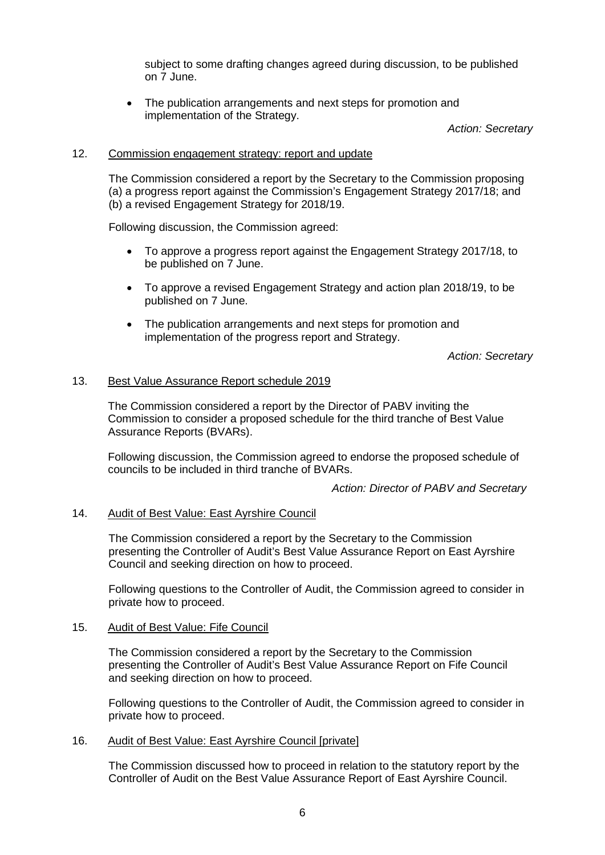subject to some drafting changes agreed during discussion, to be published on 7 June.

The publication arrangements and next steps for promotion and implementation of the Strategy.

*Action: Secretary*

### 12. Commission engagement strategy: report and update

The Commission considered a report by the Secretary to the Commission proposing (a) a progress report against the Commission's Engagement Strategy 2017/18; and (b) a revised Engagement Strategy for 2018/19.

Following discussion, the Commission agreed:

- To approve a progress report against the Engagement Strategy 2017/18, to be published on 7 June.
- To approve a revised Engagement Strategy and action plan 2018/19, to be published on 7 June.
- The publication arrangements and next steps for promotion and implementation of the progress report and Strategy.

*Action: Secretary*

## 13. Best Value Assurance Report schedule 2019

The Commission considered a report by the Director of PABV inviting the Commission to consider a proposed schedule for the third tranche of Best Value Assurance Reports (BVARs).

Following discussion, the Commission agreed to endorse the proposed schedule of councils to be included in third tranche of BVARs.

*Action: Director of PABV and Secretary*

# 14. Audit of Best Value: East Ayrshire Council

The Commission considered a report by the Secretary to the Commission presenting the Controller of Audit's Best Value Assurance Report on East Ayrshire Council and seeking direction on how to proceed.

Following questions to the Controller of Audit, the Commission agreed to consider in private how to proceed.

### 15. Audit of Best Value: Fife Council

The Commission considered a report by the Secretary to the Commission presenting the Controller of Audit's Best Value Assurance Report on Fife Council and seeking direction on how to proceed.

Following questions to the Controller of Audit, the Commission agreed to consider in private how to proceed.

# 16. Audit of Best Value: East Ayrshire Council [private]

The Commission discussed how to proceed in relation to the statutory report by the Controller of Audit on the Best Value Assurance Report of East Ayrshire Council.